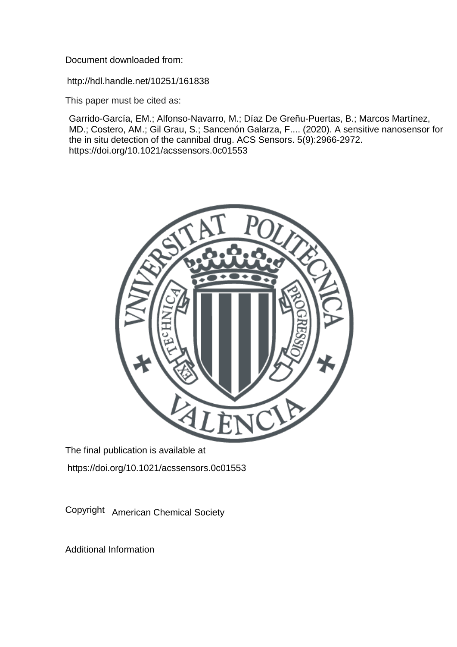Document downloaded from:

http://hdl.handle.net/10251/161838

This paper must be cited as:

Garrido-García, EM.; Alfonso-Navarro, M.; Díaz De Greñu-Puertas, B.; Marcos Martínez, MD.; Costero, AM.; Gil Grau, S.; Sancenón Galarza, F.... (2020). A sensitive nanosensor for the in situ detection of the cannibal drug. ACS Sensors. 5(9):2966-2972. https://doi.org/10.1021/acssensors.0c01553



The final publication is available at https://doi.org/10.1021/acssensors.0c01553

Copyright American Chemical Society

Additional Information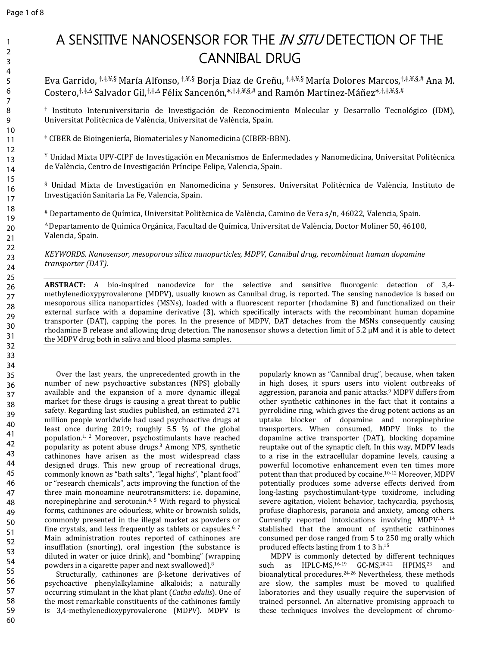# **A SENSITIVE NANOSENSOR FOR THE** *IN SITU* **DETECTION OF THE CANNIBAL DRUG**

Eva Garrido, †,‡,¥,§ María Alfonso, †,¥,§ Borja Díaz de Greñu, †,‡,¥,§ María Dolores Marcos,†,‡,¥,§,# Ana M. Costero, $\pm\neq\Delta$  Salvador Gil, $\pm\neq\Delta$  Félix Sancenón, $\pm\neq\pm\neq$ ,§,# and Ramón Martínez-Máñez $\pm\neq\pm\neq$ ,§,#

† Instituto Interuniversitario de Investigación de Reconocimiento Molecular y Desarrollo Tecnológico (IDM), Universitat Politècnica de València, Universitat de València, Spain.

‡ CIBER de Bioingeniería, Biomateriales y Nanomedicina (CIBER-BBN).

¥ Unidad Mixta UPV-CIPF de Investigación en Mecanismos de Enfermedades y Nanomedicina, Universitat Politècnica de València, Centro de Investigación Príncipe Felipe, Valencia, Spain.

§ Unidad Mixta de Investigación en Nanomedicina y Sensores. Universitat Politècnica de València, Instituto de Investigación Sanitaria La Fe, Valencia, Spain.

# Departamento de Química, Universitat Politècnica de València, Camino de Vera s/n, 46022, Valencia, Spain.

Departamento de Química Orgánica, Facultad de Química, Universitat de València, Doctor Moliner 50, 46100, Valencia, Spain.

*KEYWORDS. Nanosensor, mesoporous silica nanoparticles, MDPV, Cannibal drug, recombinant human dopamine transporter (DAT).*

**ABSTRACT:** A bio-inspired nanodevice for the selective and sensitive fluorogenic detection of 3,4 methylenedioxypyrovalerone (MDPV), usually known as Cannibal drug, is reported. The sensing nanodevice is based on mesoporous silica nanoparticles (MSNs), loaded with a fluorescent reporter (rhodamine B) and functionalized on their external surface with a dopamine derivative (**3**), which specifically interacts with the recombinant human dopamine transporter (DAT), capping the pores. In the presence of MDPV, DAT detaches from the MSNs consequently causing rhodamine B release and allowing drug detection. The nanosensor shows a detection limit of 5.2 µM and it is able to detect the MDPV drug both in saliva and blood plasma samples.

Over the last years, the unprecedented growth in the number of new psychoactive substances (NPS) globally available and the expansion of a more dynamic illegal market for these drugs is causing a great threat to public safety. Regarding last studies published, an estimated 271 million people worldwide had used psychoactive drugs at least once during 2019; roughly 5.5 % of the global population.1, 2 Moreover, psychostimulants have reached popularity as potent abuse drugs.<sup>3</sup> Among NPS, synthetic cathinones have arisen as the most widespread class designed drugs. This new group of recreational drugs, commonly known as "bath salts", "legal highs", "plant food" or "research chemicals", acts improving the function of the three main monoamine neurotransmitters: i.e. dopamine, norepinephrine and serotonin.<sup>4, 5</sup> With regard to physical forms, cathinones are odourless, white or brownish solids, commonly presented in the illegal market as powders or fine crystals, and less frequently as tablets or capsules.<sup>6, 7</sup> Main administration routes reported of cathinones are insufflation (snorting), oral ingestion (the substance is diluted in water or juice drink), and "bombing" (wrapping powders in a cigarette paper and next swallowed).<sup>8</sup>

Structurally, cathinones are β-ketone derivatives of psychoactive phenylalkylamine alkaloids; a naturally occurring stimulant in the khat plant (*Catha edulis*). One of the most remarkable constituents of the cathinones family is 3,4-methylenedioxypyrovalerone (MDPV). MDPV is

popularly known as "Cannibal drug", because, when taken in high doses, it spurs users into violent outbreaks of aggression, paranoia and panic attacks.<sup>9</sup> MDPV differs from other synthetic cathinones in the fact that it contains a pyrrolidine ring, which gives the drug potent actions as an uptake blocker of dopamine and norepinephrine transporters. When consumed, MDPV links to the dopamine active transporter (DAT), blocking dopamine reuptake out of the synaptic cleft. In this way, MDPV leads to a rise in the extracellular dopamine levels, causing a powerful locomotive enhancement even ten times more potent than that produced by cocaine.10-12 Moreover, MDPV potentially produces some adverse effects derived from long-lasting psychostimulant-type toxidrome, including severe agitation, violent behavior, tachycardia, psychosis, profuse diaphoresis, paranoia and anxiety, among others. Currently reported intoxications involving MDPV13, 14 stablished that the amount of synthetic cathinones consumed per dose ranged from 5 to 250 mg orally which produced effects lasting from 1 to 3 h.<sup>15</sup>

MDPV is commonly detected by different techniques such as HPLC-MS,<sup>16-19</sup> GC-MS,<sup>20-22</sup> HPIMS,<sup>23</sup> and bioanalytical procedures.24-26 Nevertheless, these methods are slow, the samples must be moved to qualified laboratories and they usually require the supervision of trained personnel. An alternative promising approach to these techniques involves the development of chromo-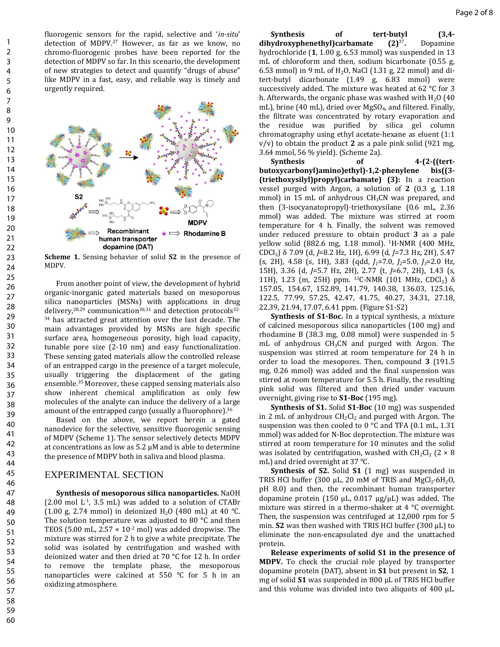fluorogenic sensors for the rapid, selective and '*in-situ*' detection of MDPV.<sup>27</sup> However, as far as we know, no chromo-fluorogenic probes have been reported for the detection of MDPV so far. In this scenario, the development of new strategies to detect and quantify "drugs of abuse" like MDPV in a fast, easy, and reliable way is timely and urgently required.



**Scheme 1.** Sensing behavior of solid **S2** in the presence of MDPV.

From another point of view, the development of hybrid organic-inorganic gated materials based on mesoporous silica nanoparticles (MSNs) with applications in drug delivery, $28,29$  communication $30,31$  and detection protocols $32$ -<sup>34</sup> has attracted great attention over the last decade. The main advantages provided by MSNs are high specific surface area, homogeneous porosity, high load capacity, tunable pore size (2-10 nm) and easy functionalization. These sensing gated materials allow the controlled release of an entrapped cargo in the presence of a target molecule, usually triggering the displacement of the gating ensemble.<sup>35</sup> Moreover, these capped sensing materials also show inherent chemical amplification as only few molecules of the analyte can induce the delivery of a large amount of the entrapped cargo (usually a fluorophore).<sup>36</sup>

Based on the above, we report herein a gated nanodevice for the selective, sensitive fluorogenic sensing of MDPV (Scheme 1). The sensor selectively detects MDPV at concentrations as low as 5.2 µM and is able to determine the presence of MDPV both in saliva and blood plasma.

## EXPERIMENTAL SECTION

**Synthesis of mesoporous silica nanoparticles.** NaOH  $(2.00 \text{ mol L}^{-1}, 3.5 \text{ mL})$  was added to a solution of CTABr (1.00 g, 2.74 mmol) in deionized H<sub>2</sub>O (480 mL) at 40 °C. The solution temperature was adjusted to 80 °C and then TEOS (5.00 mL,  $2.57 \times 10^{-2}$  mol) was added dropwise. The mixture was stirred for 2 h to give a white precipitate. The solid was isolated by centrifugation and washed with deionized water and then dried at 70 °C for 12 h. In order to remove the template phase, the mesoporous nanoparticles were calcined at 550 °C for 5 h in an oxidizing atmosphere.

**Synthesis of tert-butyl (3,4 dihydroxyphenethyl)carbamate (2)**<sup>37</sup> **.** Dopamine hydrochloride (**1**, 1.00 g, 6.53 mmol) was suspended in 13 mL of chloroform and then, sodium bicarbonate (0.55 g, 6.53 mmol) in 9 mL of  $H<sub>2</sub>O$ , NaCl (1.31 g, 22 mmol) and ditert-butyl dicarbonate (1.49 g, 6.83 mmol) were successively added. The mixture was heated at 62 °C for 3 h. Afterwards, the organic phase was washed with  $H_2O$  (40 mL), brine (40 mL), dried over MgSO<sub>4</sub>, and filtered. Finally, the filtrate was concentrated by rotary evaporation and the residue was purified by silica gel column chromatography using ethyl acetate-hexane as eluent (1:1 v/v) to obtain the product **2** as a pale pink solid (921 mg, 3.64 mmol, 56 % yield). (Scheme 2a).

Synthesis of 4-(2-((tert**butoxycarbonyl)amino)ethyl)-1,2-phenylene bis((3- (triethoxysilyl)propyl)carbamate) (3):** In a reaction vessel purged with Argon, a solution of **2** (0.3 g, 1.18 mmol) in 15 mL of anhydrous  $CH<sub>3</sub>CN$  was prepared, and then (3-isocyanatopropyl)-triethoxysilane (0.6 mL, 2.36 mmol) was added. The mixture was stirred at room temperature for 4 h. Finally, the solvent was removed under reduced pressure to obtain product **3** as a pale yellow solid (882.6 mg, 1.18 mmol). <sup>1</sup>H-NMR (400 MHz, CDCl3) δ 7.09 (d, *J*=8.2 Hz, 1H), 6.99 (d, *J*=7.3 Hz, 2H), 5.47 (s, 2H), 4.58 (s, 1H), 3.83 (qdd, *J1*=7.0, *J2*=5.0, *J3*=2.0 Hz, 15H), 3.36 (d, *J*=5.7 Hz, 2H), 2.77 (t, *J*=6.7, 2H), 1.43 (s, 11H), 1.23 (m, 25H) ppm. <sup>13</sup>C-NMR (101 MHz, CDCl<sub>3</sub>) δ 157.05, 154.67, 152.89, 141.79, 140.38, 136.03, 125.16, 122.5, 77.99, 57.25, 42.47, 41.75, 40.27, 34.31, 27.18, 22.39, 21.94, 17.07, 6.41 ppm. (Figure S1-S2)

**Synthesis of S1-Boc.** In a typical synthesis, a mixture of calcined mesoporous silica nanoparticles (100 mg) and rhodamine B (38.3 mg, 0.08 mmol) were suspended in 5 mL of anhydrous  $CH<sub>3</sub>CN$  and purged with Argon. The suspension was stirred at room temperature for 24 h in order to load the mesopores. Then, compound **3** (191.5 mg, 0.26 mmol) was added and the final suspension was stirred at room temperature for 5.5 h. Finally, the resulting pink solid was filtered and then dried under vacuum overnight, giving rise to **S1-Boc** (195 mg).

**Synthesis of S1.** Solid **S1-Boc** (10 mg) was suspended in 2 mL of anhydrous  $CH_2Cl_2$  and purged with Argon. The suspension was then cooled to  $0^{\circ}$ C and TFA (0.1 mL, 1.31) mmol) was added for N-Boc deprotection. The mixture was stirred at room temperature for 10 minutes and the solid was isolated by centrifugation, washed with  $CH_2Cl_2$  (2  $\times$  8) mL) and dried overnight at 37 °C.

**Synthesis of S2.** Solid **S1** (1 mg) was suspended in TRIS HCl buffer (300  $\mu$ L, 20 mM of TRIS and MgCl<sub>2</sub>·6H<sub>2</sub>O, pH 8.0) and then, the recombinant human transporter dopamine protein (150  $\mu$ L, 0.017  $\mu$ g/ $\mu$ L) was added. The mixture was stirred in a thermo-shaker at 4 °C overnight. Then, the suspension was centrifuged at 12,000 rpm for 5 min. **S2** was then washed with TRIS HCl buffer (300 µL) to eliminate the non-encapsulated dye and the unattached protein.

**Release experiments of solid S1 in the presence of MDPV.** To check the crucial role played by transporter dopamine protein (DAT), absent in **S1** but present in **S2**, 1 mg of solid **S1** was suspended in 800 µL of TRIS HCl buffer and this volume was divided into two aliquots of 400 µL.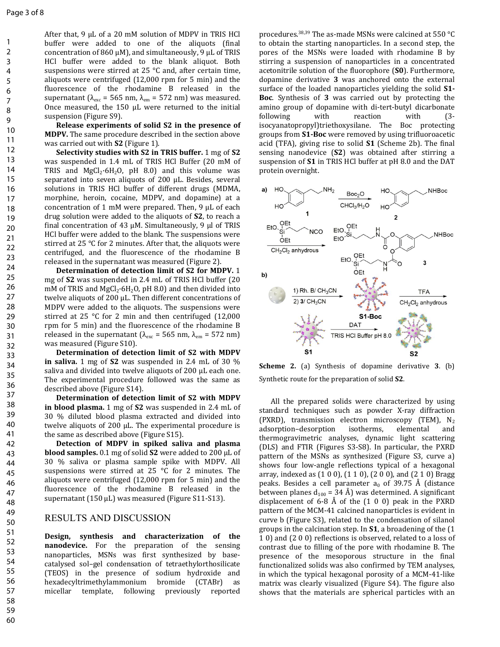After that, 9 µL of a 20 mM solution of MDPV in TRIS HCl buffer were added to one of the aliquots (final concentration of 860  $\mu$ M), and simultaneously, 9  $\mu$ L of TRIS HCl buffer were added to the blank aliquot. Both suspensions were stirred at 25 °C and, after certain time, aliquots were centrifuged (12,000 rpm for 5 min) and the fluorescence of the rhodamine B released in the supernatant ( $\lambda_{\text{exc}}$  = 565 nm,  $\lambda_{\text{em}}$  = 572 nm) was measured. Once measured, the 150 µL were returned to the initial suspension (Figure S9).

**Release experiments of solid S2 in the presence of MDPV.** The same procedure described in the section above was carried out with **S2** (Figure 1).

**Selectivity studies with S2 in TRIS buffer.** 1 mg of **S2** was suspended in 1.4 mL of TRIS HCl Buffer (20 mM of TRIS and  $MgCl<sub>2</sub>·6H<sub>2</sub>O$ , pH 8.0) and this volume was separated into seven aliquots of 200 µL. Besides, several solutions in TRIS HCl buffer of different drugs (MDMA, morphine, heroin, cocaine, MDPV, and dopamine) at a concentration of 1 mM were prepared. Then, 9 µL of each drug solution were added to the aliquots of **S2**, to reach a final concentration of 43  $\mu$ M. Simultaneously, 9  $\mu$ l of TRIS HCl buffer were added to the blank. The suspensions were stirred at 25 °C for 2 minutes. After that, the aliquots were centrifuged, and the fluorescence of the rhodamine B released in the supernatant was measured (Figure 2).

**Determination of detection limit of S2 for MDPV.** 1 mg of **S2** was suspended in 2.4 mL of TRIS HCl buffer (20 mM of TRIS and  $MeCl<sub>2</sub>·6H<sub>2</sub>O$ , pH 8.0) and then divided into twelve aliquots of 200 µL. Then different concentrations of MDPV were added to the aliquots. The suspensions were stirred at 25 °C for 2 min and then centrifuged (12,000 rpm for 5 min) and the fluorescence of the rhodamine B released in the supernatant ( $λ_{\rm exc}$  = 565 nm,  $λ_{\rm em}$  = 572 nm) was measured (Figure S10).

**Determination of detection limit of S2 with MDPV in saliva.** 1 mg of **S2** was suspended in 2.4 mL of 30 % saliva and divided into twelve aliquots of 200 µL each one. The experimental procedure followed was the same as described above (Figure S14).

**Determination of detection limit of S2 with MDPV in blood plasma.** 1 mg of **S2** was suspended in 2.4 mL of 30 % diluted blood plasma extracted and divided into twelve aliquots of 200 µL. The experimental procedure is the same as described above (Figure S15).

**Detection of MDPV in spiked saliva and plasma blood samples.** 0.1 mg of solid **S2** were added to 200 µL of 30 % saliva or plasma sample spike with MDPV. All suspensions were stirred at 25 °C for 2 minutes. The aliquots were centrifuged (12,000 rpm for 5 min) and the fluorescence of the rhodamine B released in the supernatant (150 µL) was measured (Figure S11-S13).

## RESULTS AND DISCUSSION

**Design, synthesis and characterization of the nanodevice.** For the preparation of the sensing nanoparticles, MSNs was first synthesized by basecatalysed sol–gel condensation of tetraethylorthosilicate (TEOS) in the presence of sodium hydroxide and hexadecyltrimethylammonium bromide (CTABr) as micellar template, following previously reported

procedures.38,39 The as-made MSNs were calcined at 550 °C to obtain the starting nanoparticles. In a second step, the pores of the MSNs were loaded with rhodamine B by stirring a suspension of nanoparticles in a concentrated acetonitrile solution of the fluorophore (**S0**). Furthermore, dopamine derivative **3** was anchored onto the external surface of the loaded nanoparticles yielding the solid **S1- Boc**. Synthesis of **3** was carried out by protecting the amino group of dopamine with di-tert-butyl dicarbonate following with reaction with (3 isocyanatopropyl)triethoxysilane. The Boc protecting groups from **S1-Boc** were removed by using trifluoroacetic acid (TFA), giving rise to solid **S1** (Scheme 2b). The final sensing nanodevice (**S2**) was obtained after stirring a suspension of **S1** in TRIS HCl buffer at pH 8.0 and the DAT protein overnight.



**Scheme 2.** (a) Synthesis of dopamine derivative **3**. (b) Synthetic route for the preparation of solid **S2**.

All the prepared solids were characterized by using standard techniques such as powder X-ray diffraction (PXRD), transmission electron microscopy (TEM),  $N_2$ adsorption–desorption isotherms, elemental and thermogravimetric analyses, dynamic light scattering (DLS) and FTIR (Figures S3-S8). In particular, the PXRD pattern of the MSNs as synthesized (Figure S3, curve a) shows four low-angle reflections typical of a hexagonal array, indexed as (1 0 0), (1 1 0), (2 0 0), and (2 1 0) Bragg peaks. Besides a cell parameter  $a_0$  of 39.75 Å (distance between planes  $d_{100}$  = 34 Å) was determined. A significant displacement of 6-8 Å of the  $(1\ 0\ 0)$  peak in the PXRD pattern of the MCM-41 calcined nanoparticles is evident in curve b (Figure S3), related to the condensation of silanol groups in the calcination step. In **S1**, a broadening of the (1 1 0) and (2 0 0) reflections is observed, related to a loss of contrast due to filling of the pore with rhodamine B. The presence of the mesoporous structure in the final functionalized solids was also confirmed by TEM analyses, in which the typical hexagonal porosity of a MCM-41-like matrix was clearly visualized (Figure S4). The figure also shows that the materials are spherical particles with an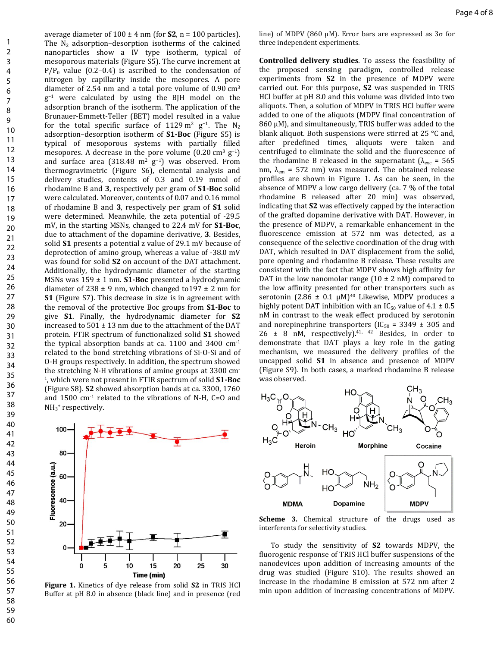average diameter of  $100 \pm 4$  nm (for **S2**, n = 100 particles). The  $N_2$  adsorption–desorption isotherms of the calcined nanoparticles show a IV type isotherm, typical of mesoporous materials (Figure S5). The curve increment at  $P/P_0$  value (0.2–0.4) is ascribed to the condensation of nitrogen by capillarity inside the mesopores. A pore diameter of 2.54 nm and a total pore volume of  $0.90 \text{ cm}^3$ g<sup>-1</sup> were calculated by using the BJH model on the adsorption branch of the isotherm. The application of the Brunauer-Emmett-Teller (BET) model resulted in a value for the total specific surface of 1129 m<sup>2</sup> g<sup>-1</sup>. The N<sub>2</sub> adsorption–desorption isotherm of **S1-Boc** (Figure S5) is typical of mesoporous systems with partially filled mesopores. A decrease in the pore volume  $(0.20 \text{ cm}^3 \text{ g}^{-1})$ and surface area (318.48 m<sup>2</sup> g<sup>-1</sup>) was observed. From thermogravimetric (Figure S6), elemental analysis and delivery studies, contents of 0.3 and 0.19 mmol of rhodamine B and **3**, respectively per gram of **S1-Boc** solid were calculated. Moreover, contents of 0.07 and 0.16 mmol of rhodamine B and **3**, respectively per gram of **S1** solid were determined. Meanwhile, the zeta potential of -29.5 mV, in the starting MSNs, changed to 22.4 mV for **S1-Boc**, due to attachment of the dopamine derivative, **3**. Besides, solid **S1** presents a potential z value of 29.1 mV because of deprotection of amino group, whereas a value of -38.0 mV was found for solid **S2** on account of the DAT attachment. Additionally, the hydrodynamic diameter of the starting MSNs was 159 ± 1 nm. **S1-Boc** presented a hydrodynamic diameter of  $238 \pm 9$  nm, which changed to 197  $\pm 2$  nm for **S1** (Figure S7). This decrease in size is in agreement with the removal of the protective Boc groups from **S1-Boc** to give **S1**. Finally, the hydrodynamic diameter for **S2** increased to  $501 \pm 13$  nm due to the attachment of the DAT protein. FTIR spectrum of functionalized solid **S1** showed the typical absorption bands at ca.  $1100$  and  $3400$  cm<sup>-1</sup> related to the bond stretching vibrations of Si-O-Si and of O-H groups respectively. In addition, the spectrum showed the stretching N-H vibrations of amine groups at 3300 cm-1 , which were not present in FTIR spectrum of solid **S1-Boc**  (Figure S8). **S2** showed absorption bands at ca. 3300, 1760 and 1500 cm-1 related to the vibrations of N-H, C=O and NH<sub>3</sub><sup>+</sup> respectively.



line) of MDPV (860 µM). Error bars are expressed as 3σ for three independent experiments.

**Controlled delivery studies**. To assess the feasibility of the proposed sensing paradigm, controlled release experiments from **S2** in the presence of MDPV were carried out. For this purpose, **S2** was suspended in TRIS HCl buffer at pH 8.0 and this volume was divided into two aliquots. Then, a solution of MDPV in TRIS HCl buffer were added to one of the aliquots (MDPV final concentration of  $860 \mu$ M), and simultaneously, TRIS buffer was added to the blank aliquot. Both suspensions were stirred at 25 °C and, after predefined times, aliquots were taken and centrifuged to eliminate the solid and the fluorescence of the rhodamine B released in the supernatant ( $\lambda_{\text{exc}}$  = 565 nm,  $\lambda_{em}$  = 572 nm) was measured. The obtained release profiles are shown in Figure 1. As can be seen, in the absence of MDPV a low cargo delivery (ca. 7 % of the total rhodamine B released after 20 min) was observed, indicating that **S2** was effectively capped by the interaction of the grafted dopamine derivative with DAT. However, in the presence of MDPV, a remarkable enhancement in the fluorescence emission at 572 nm was detected, as a consequence of the selective coordination of the drug with DAT, which resulted in DAT displacement from the solid, pore opening and rhodamine B release. These results are consistent with the fact that MDPV shows high affinity for DAT in the low nanomolar range  $(10 \pm 2 \text{ nM})$  compared to the low affinity presented for other transporters such as serotonin (2.86  $\pm$  0.1 µM)<sup>40</sup> Likewise, MDPV produces a highly potent DAT inhibition with an  $IC_{50}$  value of 4.1  $\pm$  0.5 nM in contrast to the weak effect produced by serotonin and norepinephrine transporters (IC<sub>50</sub> = 3349  $\pm$  305 and 26  $\pm$  8 nM, respectively).<sup>41, 42</sup> Besides, in order to demonstrate that DAT plays a key role in the gating mechanism, we measured the delivery profiles of the uncapped solid **S1** in absence and presence of MDPV (Figure S9). In both cases, a marked rhodamine B release was observed.



**Scheme 3.** Chemical structure of the drugs used as interferents for selectivity studies.

To study the sensitivity of **S2** towards MDPV, the fluorogenic response of TRIS HCl buffer suspensions of the nanodevices upon addition of increasing amounts of the drug was studied (Figure S10). The results showed an increase in the rhodamine B emission at 572 nm after 2 min upon addition of increasing concentrations of MDPV.

**Figure 1.** Kinetics of dye release from solid **S2** in TRIS HCl Buffer at pH 8.0 in absence (black line) and in presence (red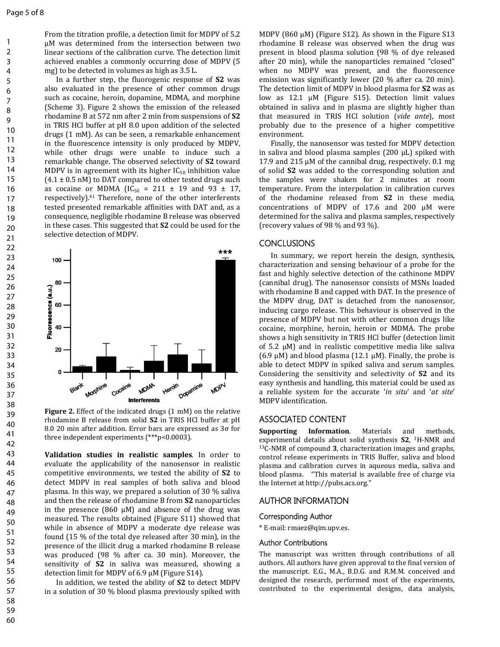From the titration profile, a detection limit for MDPV of 5.2 µM was determined from the intersection between two linear sections of the calibration curve. The detection limit achieved enables a commonly occurring dose of MDPV (5 mg) to be detected in volumes as high as 3.5 L.

In a further step, the fluorogenic response of **S2** was also evaluated in the presence of other common drugs such as cocaine, heroin, dopamine, MDMA, and morphine (Scheme 3). Figure 2 shows the emission of the released rhodamine B at 572 nm after 2 min from suspensions of **S2** in TRIS HCl buffer at pH 8.0 upon addition of the selected drugs (1 mM). As can be seen, a remarkable enhancement in the fluorescence intensity is only produced by MDPV, while other drugs were unable to induce such a remarkable change. The observed selectivity of **S2** toward MDPV is in agreement with its higher  $IC_{50}$  inhibition value  $(4.1 \pm 0.5 \text{ nM})$  to DAT compared to other tested drugs such as cocaine or MDMA ( $IC_{50} = 211 \pm 19$  and 93  $\pm$  17, respectively).<sup>41</sup> Therefore, none of the other interferents tested presented remarkable affinities with DAT and, as a consequence, negligible rhodamine B release was observed in these cases. This suggested that **S2** could be used for the selective detection of MDPV.



**Figure 2.** Effect of the indicated drugs (1 mM) on the relative rhodamine B release from solid **S2** in TRIS HCl buffer at pH 8.0 20 min after addition. Error bars are expressed as 3σ for three independent experiments (\*\*\*p<0.0003).

**Validation studies in realistic samples**. In order to evaluate the applicability of the nanosensor in realistic competitive environments, we tested the ability of **S2** to detect MDPV in real samples of both saliva and blood plasma. In this way, we prepared a solution of 30 % saliva and then the release of rhodamine B from **S2** nanoparticles in the presence  $(860 \mu M)$  and absence of the drug was measured. The results obtained (Figure S11) showed that while in absence of MDPV a moderate dye release was found (15 % of the total dye released after 30 min), in the presence of the illicit drug a marked rhodamine B release was produced (98 % after ca. 30 min). Moreover, the sensitivity of **S2** in saliva was measured, showing a detection limit for MDPV of 6.9 µM (Figure S14).

In addition, we tested the ability of **S2** to detect MDPV in a solution of 30 % blood plasma previously spiked with

MDPV (860  $\mu$ M) (Figure S12). As shown in the Figure S13 rhodamine B release was observed when the drug was present in blood plasma solution (98 % of dye released after 20 min), while the nanoparticles remained "closed" when no MDPV was present, and the fluorescence emission was significantly lower (20 % after ca. 20 min). The detection limit of MDPV in blood plasma for **S2** was as low as 12.1 µM (Figure S15). Detection limit values obtained in saliva and in plasma are slightly higher than that measured in TRIS HCl solution (*vide ante*), most probably due to the presence of a higher competitive environment.

Finally, the nanosensor was tested for MDPV detection in saliva and blood plasma samples  $(200 \mu L)$  spiked with 17.9 and 215 µM of the cannibal drug, respectively. 0.1 mg of solid **S2** was added to the corresponding solution and the samples were shaken for 2 minutes at room temperature. From the interpolation in calibration curves of the rhodamine released from **S2** in these media, concentrations of MDPV of 17.6 and 200 μM were determined for the saliva and plasma samples, respectively (recovery values of 98 % and 93 %).

## **CONCLUSIONS**

In summary, we report herein the design, synthesis, characterization and sensing behaviour of a probe for the fast and highly selective detection of the cathinone MDPV (cannibal drug). The nanosensor consists of MSNs loaded with rhodamine B and capped with DAT. In the presence of the MDPV drug, DAT is detached from the nanosensor, inducing cargo release. This behaviour is observed in the presence of MDPV but not with other common drugs like cocaine, morphine, heroin, heroin or MDMA. The probe shows a high sensitivity in TRIS HCl buffer (detection limit of 5.2 µM) and in realistic competitive media like saliva (6.9  $\mu$ M) and blood plasma (12.1  $\mu$ M). Finally, the probe is able to detect MDPV in spiked saliva and serum samples. Considering the sensitivity and selectivity of **S2** and its easy synthesis and handling, this material could be used as a reliable system for the accurate '*in situ*' and '*at site*' MDPV identification.

# **ASSOCIATED CONTENT**

**Supporting Information**. Materials and methods, experimental details about solid synthesis **S2**, <sup>1</sup>H-NMR and <sup>13</sup>C-NMR of compound **3**, characterization images and graphs, control release experiments in TRIS Buffer, saliva and blood plasma and calibration curves in aqueous media, saliva and blood plasma. "This material is available free of charge via the Internet at http://pubs.acs.org."

# **AUTHOR INFORMATION**

#### **Corresponding Author**

\* E-mail: rmaez@qim.upv.es.

#### **Author Contributions**

The manuscript was written through contributions of all authors. All authors have given approval to the final version of the manuscript. E.G., M.A., B.D.G. and R.M.M. conceived and designed the research, performed most of the experiments, contributed to the experimental designs, data analysis,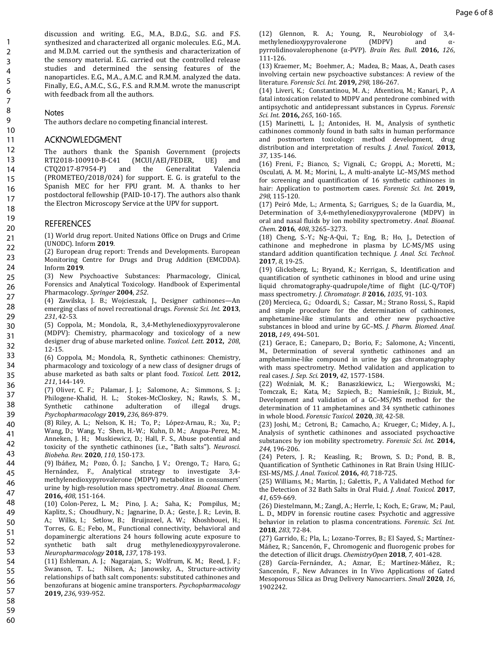discussion and writing. E.G., M.A., B.D.G., S.G. and F.S. synthesized and characterized all organic molecules. E.G., M.A. and M.D.M. carried out the synthesis and characterization of the sensory material. E.G. carried out the controlled release studies and determined the sensing features of the nanoparticles. E.G., M.A., A.M.C. and R.M.M. analyzed the data. Finally, E.G., A.M.C., S.G., F.S. and R.M.M. wrote the manuscript with feedback from all the authors.

# **Notes**

The authors declare no competing financial interest.

# **ACKNOWLEDGMENT**

The authors thank the Spanish Government (projects RTI2018-100910-B-C41 (MCUI/AEI/FEDER, UE) and CTQ2017-87954-P) and the Generalitat Valencia (PROMETEO/2018/024) for support. E. G. is grateful to the Spanish MEC for her FPU grant. M. A. thanks to her postdoctoral fellowship (PAID-10-17). The authors also thank the Electron Microscopy Service at the UPV for support.

# **REFERENCES**

(1) World drug report. United Nations Office on Drugs and Crime (UNODC). Inform **2019**.

- (2) European drug report: Trends and Developments. European Monitoring Centre for Drugs and Drug Addition (EMCDDA). Inform **2019**.
- (3) New Psychoactive Substances: Pharmacology, Clinical, Forensics and Analytical Toxicology. Handbook of Experimental Pharmacology. *Springer* **2004**, *252*.
- (4) Zawilska, J. B.; Wojcieszak, J., Designer cathinones—An emerging class of novel recreational drugs. *Forensic Sci. Int.* **2013**, *231*, 42-53.
- (5) Coppola, M.; Mondola, R., 3,4-Methylenedioxypyrovalerone (MDPV): Chemistry, pharmacology and toxicology of a new designer drug of abuse marketed online. *Toxicol. Lett.* **2012,** *208*, 12-15. 30 31 32
- (6) Coppola, M.; Mondola, R., Synthetic cathinones: Chemistry, pharmacology and toxicology of a new class of designer drugs of abuse marketed as bath salts or plant food. *Toxicol. Lett.* **2012,** *211*, 144-149. 33 34 35
- (7) Oliver, C. F.; Palamar, J. J.; Salomone, A.; Simmons, S. J.; Philogene-Khalid, H. L.; Stokes-McCloskey, N.; Rawls, S. M., Synthetic cathinone adulteration of illegal drugs. *Psychopharmacology* **2019,** *236*, 869-879. 36 37 38 39
- (8) Riley, A. L.; Nelson, K. H.; To, P.; López-Arnau, R.; Xu, P.; Wang, D.; Wang, Y.; Shen, H.-W.; Kuhn, D. M.; Angoa-Perez, M.; Anneken, J. H.; Muskiewicz, D.; Hall, F. S., Abuse potential and toxicity of the synthetic cathinones (i.e., "Bath salts"). *Neurosci. Biobeha. Rev.* **2020**, *110*, 150-173. 40 41 42 43
- (9) Ibáñez, M.; Pozo, Ó. J.; Sancho, J. V.; Orengo, T.; Haro, G.; Hernández, F., Analytical strategy to investigate 3,4 methylenedioxypyrovalerone (MDPV) metabolites in consumers' urine by high-resolution mass spectrometry. *Anal. Bioanal. Chem.*  **2016,** *408*, 151-164. 44 45 46 47
- (10) Colon-Perez, L. M.; Pino, J. A.; Saha, K.; Pompilus, M.; Kaplitz, S.; Choudhury, N.; Jagnarine, D. A.; Geste, J. R.; Levin, B. A.; Wilks, I.; Setlow, B.; Bruijnzeel, A. W.; Khoshbouei, H.; Torres, G. E.; Febo, M., Functional connectivity, behavioral and dopaminergic alterations 24 hours following acute exposure to synthetic bath salt drug methylenedioxypyrovalerone. *Neuropharmacology* **2018,** *137*, 178-193. 48 49 50 51 52 53
- (11) Eshleman, A. J.; Nagarajan, S.; Wolfrum, K. M.; Reed, J. F.; Swanson, T. L.; Nilsen, A.; Janowsky, A., Structure-activity relationships of bath salt components: substituted cathinones and benzofurans at biogenic amine transporters. *Psychopharmacology*  **2019,** *236*, 939-952. 54 55 56 57 58

(12) Glennon, R. A.; Young, R., Neurobiology of 3,4-<br>methylenedioxypyrovalerone (MDPV) and  $\alpha$ methylenedioxypyrovalerone (MDPV) and αpyrrolidinovalerophenone (α-PVP). *Brain Res. Bull.* **2016,** *126*, 111-126.

(13) Kraemer, M.; Boehmer, A.; Madea, B.; Maas, A., Death cases involving certain new psychoactive substances: A review of the literature. *Forensic Sci. Int.* **2019,** *298*, 186-267.

(14) Liveri, K.; Constantinou, M. A.; Afxentiou, M.; Kanari, P., A fatal intoxication related to MDPV and pentedrone combined with antipsychotic and antidepressant substances in Cyprus. *Forensic Sci. Int.* **2016,** *265*, 160-165.

(15) Marinetti, L. J.; Antonides, H. M., Analysis of synthetic cathinones commonly found in bath salts in human performance and postmortem toxicology: method development, drug distribution and interpretation of results. *J. Anal. Toxicol.* **2013,** *37*, 135-146.

(16) Freni, F.; Bianco, S.; Vignali, C.; Groppi, A.; Moretti, M.; Osculati, A. M. M.; Morini, L., A multi-analyte LC–MS/MS method for screening and quantification of 16 synthetic cathinones in hair: Application to postmortem cases. *Forensic Sci. Int.* **2019,** *298*, 115-120.

(17) Peiró Mde, L.; Armenta, S.; Garrigues, S.; de la Guardia, M., Determination of 3,4-methylenedioxypyrovalerone (MDPV) in oral and nasal fluids by ion mobility spectrometry. *Anal. Bioanal. Chem.* **2016**, *408*, 3265–3273.

(18) Cheng, S.-Y.; Ng-A-Qui, T.; Eng, B.; Ho, J., Detection of cathinone and mephedrone in plasma by LC-MS/MS using standard addition quantification technique. *J. Anal. Sci. Technol.* **2017**, *8*, 19-25.

(19) Glicksberg, L.; Bryand, K.; Kerrigan, S., Identification and quantification of synthetic cathinones in blood and urine using liquid chromatography-quadrupole/time of flight (LC-Q/TOF) mass spectrometry. *J. Chromatogr. B* **2016**, *1035*, 91-103.

(20) Mercieca, G.; Odoardi, S.; Cassar, M.; Strano Rossi, S., Rapid and simple procedure for the determination of cathinones, amphetamine-like stimulants and other new psychoactive substances in blood and urine by GC–MS. *J. Pharm. Biomed. Anal.*  **2018,** *149*, 494-501.

(21) Gerace, E.; Caneparo, D.; Borio, F.; Salomone, A.; Vincenti, M., Determination of several synthetic cathinones and an amphetamine-like compound in urine by gas chromatography with mass spectrometry. Method validation and application to real cases. *J. Sep. Sci.* **2019,** *42*, 1577-1584.

(22) Woźniak, M. K.; Banaszkiewicz, L.; Wiergowski, M.; Tomczak, E.; Kata, M.; Szpiech, B.; Namieśnik, J.; Biziuk, M., Development and validation of a GC–MS/MS method for the determination of 11 amphetamines and 34 synthetic cathinones in whole blood. *Forensic Toxicol.* **2020**, *38*, 42-58.

(23) Joshi, M.; Cetroni, B.; Camacho, A.; Krueger, C.; Midey, A. J., Analysis of synthetic cathinones and associated psychoactive substances by ion mobility spectrometry. *Forensic Sci. Int.* **2014,** *244*, 196-206.

(24) Peters, J. R.; Keasling, R.; Brown, S. D.; Pond, B. B., Quantification of Synthetic Cathinones in Rat Brain Using HILIC-ESI-MS/MS. *J. Anal. Toxicol.* **2016,** *40*, 718-725.

(25) Williams, M.; Martin, J.; Galettis, P., A Validated Method for the Detection of 32 Bath Salts in Oral Fluid. *J. Anal. Toxicol.* **2017**, *41*, 659-669.

(26) Diestelmann, M.; Zangl, A.; Herrle, I.; Koch, E.; Graw, M.; Paul, L. D., MDPV in forensic routine cases: Psychotic and aggressive behavior in relation to plasma concentrations. *Forensic. Sci. Int.* **2018**, *283*, 72-84.

(27) Garrido, E.; Pla, L.; Lozano-Torres, B.; El Sayed, S.; Martínez-Máñez, R.; Sancenón, F., Chromogenic and fluorogenic probes for the detection of illicit drugs. *ChemistryOpen* **2018**, *7*, 401-428.

(28) García-Fernández, A.; Aznar, E.; Martínez-Máñez, R.; Sancenón, F., New Advances in In Vivo Applications of Gated Mesoporous Silica as Drug Delivery Nanocarriers. *Small* **2020**, *16*, 1902242.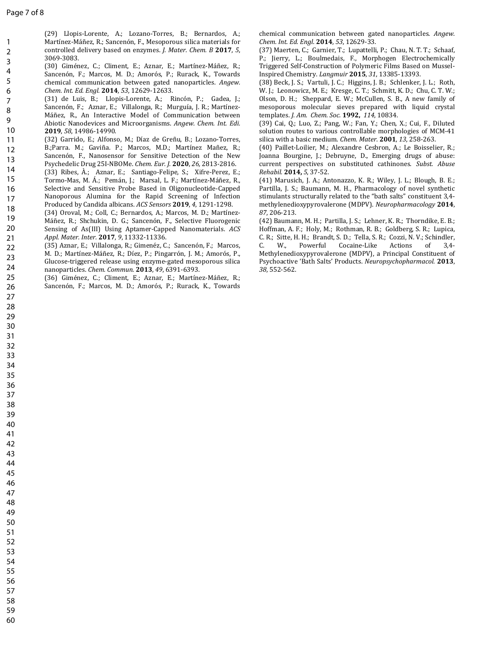1 2

(29) Llopis-Lorente, A.; Lozano-Torres, B.; Bernardos, A.; Martínez-Máñez, R.; Sancenón, F., Mesoporous silica materials for controlled delivery based on enzymes. *J. Mater. Chem. B* **2017**, *5*, 3069-3083.

- (30) Giménez, C.; Climent, E.; Aznar, E.; Martínez-Máñez, R.; Sancenón, F.; Marcos, M. D.; Amorós, P.; Rurack, K., Towards chemical communication between gated nanoparticles. *Angew. Chem. Int. Ed. Engl.* **2014**, *53*, 12629-12633. 3 4 5 6
- (31) de Luis, B.; Llopis-Lorente, A.; Rincón, P.; Gadea, J.; Sancenón, F.; Aznar, E.; Villalonga, R.; Murguía, J. R.; Martínez-Máñez, R., An Interactive Model of Communication between Abiotic Nanodevices and Microorganisms. *Angew. Chem. Int. Edi.* **2019**, *58*, 14986-14990. 7 8 9 10
- (32) Garrido, E.; Alfonso, M.; Díaz de Greñu, B.; Lozano-Torres, B.;Parra. M.; Gaviña. P.; Marcos, M.D.; Martínez Mañez, R.; Sancenón, F., Nanosensor for Sensitive Detection of the New Psychedelic Drug 25I-NBOMe. *Chem. Eur. J.* **2020**, *26,* 2813-2816. 11 12 13
- (33) Ribes, À.; Aznar, E.; Santiago-Felipe, S.; Xifre-Perez, E.; Tormo-Mas, M. Á.; Pemán, J.; Marsal, L. F.; Martínez-Máñez, R., Selective and Sensitive Probe Based in Oligonucleotide-Capped Nanoporous Alumina for the Rapid Screening of Infection Produced by Candida albicans. *ACS Sensors* **2019**, *4*, 1291-1298. 14 15 16 17 18
- (34) Oroval, M.; Coll, C.; Bernardos, A.; Marcos, M. D.; Martínez-Máñez, R.; Shchukin, D. G.; Sancenón, F., Selective Fluorogenic Sensing of As(III) Using Aptamer-Capped Nanomaterials. *ACS Appl. Mater. Inter.* **2017**, *9*, 11332-11336. 19 20 21
- (35) Aznar, E.; Villalonga, R.; Gimenéz, C.; Sancenón, F.; Marcos, M. D.; Martínez-Máñez, R.; Díez, P.; Pingarrón, J. M.; Amorós, P., Glucose-triggered release using enzyme-gated mesoporous silica nanoparticles. *Chem. Commun.* **2013**, *49*, 6391-6393. 22 23 24
- (36) Giménez, C.; Climent, E.; Aznar, E.; Martínez-Máñez, R.; Sancenón, F.; Marcos, M. D.; Amorós, P.; Rurack, K., Towards 25 26

chemical communication between gated nanoparticles. *Angew. Chem. Int. Ed. Engl*. **2014**, *53*, 12629-33.

(37) Maerten, C.; Garnier, T.; Lupattelli, P.; Chau, N. T. T.; Schaaf, P.; Jierry, L.; Boulmedais, F., Morphogen Electrochemically Triggered Self-Construction of Polymeric Films Based on Mussel-Inspired Chemistry. *Langmuir* **2015**, *31*, 13385-13393.

(38) Beck, J. S.; Vartuli, J. C.; Higgins, J. B.; Schlenker, J. L.; Roth, W. J.; Leonowicz, M. E.; Kresge, C. T.; Schmitt, K. D.; Chu, C. T. W.; Olson, D. H.; Sheppard, E. W.; McCullen, S. B., A new family of mesoporous molecular sieves prepared with liquid crystal templates. *J. Am. Chem. Soc.* **1992,** *114*, 10834.

(39) Cai, Q.; Luo, Z.; Pang, W.; Fan, Y.; Chen, X.; Cui, F., Diluted solution routes to various controllable morphologies of MCM-41 silica with a basic medium. *Chem. Mater*. **2001**, *13*, 258-263.

(40) Paillet-Loilier, M.; Alexandre Cesbron, A.; Le Boisselier, R.; Joanna Bourgine, J.; Debruyne, D., Emerging drugs of abuse: current perspectives on substituted cathinones. *Subst. Abuse Rehabil.* **2014,** *5*, 37-52.

(41) Marusich, J. A.; Antonazzo, K. R.; Wiley, J. L.; Blough, B. E.; Partilla, J. S.; Baumann, M. H., Pharmacology of novel synthetic stimulants structurally related to the "bath salts" constituent 3,4 methylenedioxypyrovalerone (MDPV). *Neuropharmacology* **2014**, *87*, 206-213.

(42) Baumann, M. H.; Partilla, J. S.; Lehner, K. R.; Thorndike, E. B.; Hoffman, A. F.; Holy, M.; Rothman, R. B.; Goldberg, S. R.; Lupica, C. R.; Sitte, H. H.; Brandt, S. D.; Tella, S. R.; Cozzi, N. V.; Schindler, C. W., Powerful Cocaine-Like Actions of 3,4- Methylenedioxypyrovalerone (MDPV), a Principal Constituent of Psychoactive 'Bath Salts' Products. *Neuropsychopharmacol.* **2013**, *38*, 552-562.